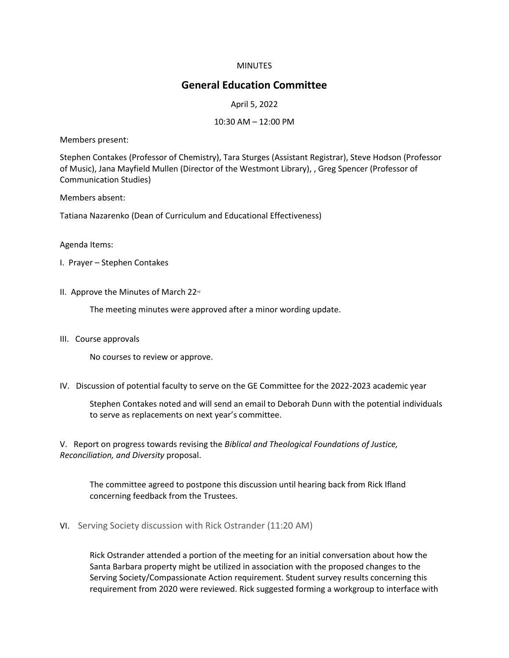## **MINUTES**

## **General Education Committee**

## April 5, 2022

## 10:30 AM – 12:00 PM

Members present:

Stephen Contakes (Professor of Chemistry), Tara Sturges (Assistant Registrar), Steve Hodson (Professor of Music), Jana Mayfield Mullen (Director of the Westmont Library), , Greg Spencer (Professor of Communication Studies)

Members absent:

Tatiana Nazarenko (Dean of Curriculum and Educational Effectiveness)

Agenda Items:

- I. Prayer Stephen Contakes
- II. Approve the Minutes of March 22<sup>nd</sup>

The meeting minutes were approved after a minor wording update.

III. Course approvals

No courses to review or approve.

IV. Discussion of potential faculty to serve on the GE Committee for the 2022-2023 academic year

Stephen Contakes noted and will send an email to Deborah Dunn with the potential individuals to serve as replacements on next year's committee.

V. Report on progress towards revising the *Biblical and Theological Foundations of Justice, Reconciliation, and Diversity* proposal.

The committee agreed to postpone this discussion until hearing back from Rick Ifland concerning feedback from the Trustees.

VI. Serving Society discussion with Rick Ostrander (11:20 AM)

Rick Ostrander attended a portion of the meeting for an initial conversation about how the Santa Barbara property might be utilized in association with the proposed changes to the Serving Society/Compassionate Action requirement. Student survey results concerning this requirement from 2020 were reviewed. Rick suggested forming a workgroup to interface with